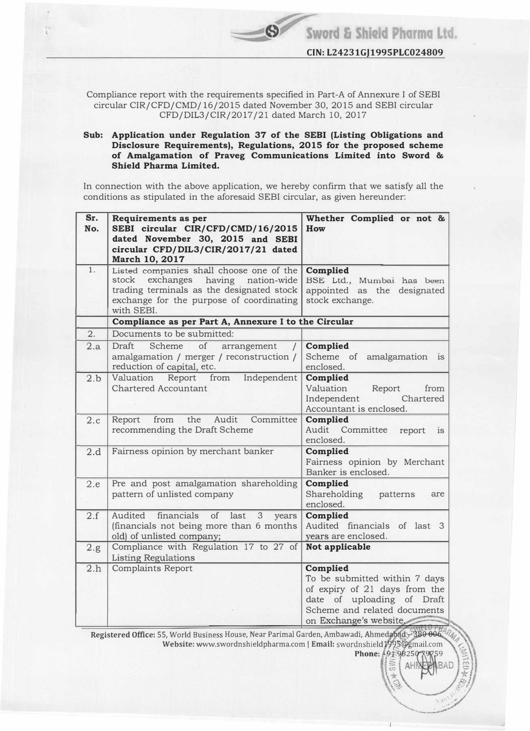Compliance report with the requirements specified in Part-A of Annexure I of SEBI circular CIR/CFD/CMD/16/2015 dated November 30, 2015 and SEBI circular CFD/DIL3/CIR/2017 /21 dated March 10, 2017

## Sub: Application under Regulation 37 of the SEBI (Listing Obligations and Disclosure Requirements), Regulations, 2015 for the proposed scheme of Amalgamation of Praveg Communications Limited into Sword & Shield Pharma Limited.

In connection with the above application, we hereby confirm that we satisfy all the conditions as stipulated in the aforesaid SEBI circular, as given hereunder:

| Sr.<br>No. | Requirements as per<br>SEBI circular CIR/CFD/CMD/16/2015<br>dated November 30, 2015 and SEBI<br>circular CFD/DIL3/CIR/2017/21 dated<br>March 10, 2017                                       | Whether Complied or not &<br>How                                                                                                                                  |  |  |  |  |
|------------|---------------------------------------------------------------------------------------------------------------------------------------------------------------------------------------------|-------------------------------------------------------------------------------------------------------------------------------------------------------------------|--|--|--|--|
| 1.         | Listed companies shall choose one of the<br>exchanges<br>having nation-wide<br>stock<br>trading terminals as the designated stock<br>exchange for the purpose of coordinating<br>with SEBI. | Complied<br>BSE Ltd., Mumbai has been<br>appointed as the designated<br>stock exchange.                                                                           |  |  |  |  |
|            | Compliance as per Part A, Annexure I to the Circular                                                                                                                                        |                                                                                                                                                                   |  |  |  |  |
| 2.         | Documents to be submitted:                                                                                                                                                                  |                                                                                                                                                                   |  |  |  |  |
| 2.a        | Draft<br>Scheme<br>of<br>arrangement<br>amalgamation / merger / reconstruction /<br>reduction of capital, etc.                                                                              | Complied<br>Scheme of<br>amalgamation is<br>enclosed.                                                                                                             |  |  |  |  |
| 2.b        | Valuation<br>Report from<br>Independent<br><b>Chartered Accountant</b>                                                                                                                      | Complied<br>Valuation<br>Report<br>from<br>Independent<br>Chartered<br>Accountant is enclosed.                                                                    |  |  |  |  |
| 2.c        | the<br>Audit<br>Committee<br>Report<br>from<br>recommending the Draft Scheme                                                                                                                | Complied<br>Audit Committee<br>report<br>1S<br>enclosed.                                                                                                          |  |  |  |  |
| 2.d        | Fairness opinion by merchant banker                                                                                                                                                         | Complied<br>Fairness opinion by Merchant<br>Banker is enclosed.                                                                                                   |  |  |  |  |
| 2.e        | Pre and post amalgamation shareholding<br>pattern of unlisted company                                                                                                                       | Complied<br>Shareholding<br>patterns<br>are<br>enclosed.                                                                                                          |  |  |  |  |
| 2.f        | Audited<br>financials<br>of<br>last<br>3<br>years<br>(financials not being more than 6 months<br>old) of unlisted company;                                                                  | <b>Complied</b><br>Audited financials of last 3<br>years are enclosed.                                                                                            |  |  |  |  |
| 2.g.       | Compliance with Regulation 17 to 27 of<br><b>Listing Regulations</b>                                                                                                                        | Not applicable                                                                                                                                                    |  |  |  |  |
| 2.h        | <b>Complaints Report</b><br>Registered Office: 55, World Business House, Near Parimal Garden, Ambawadi, Ahmedabad 380 006 ARM                                                               | Complied<br>To be submitted within 7 days<br>of expiry of 21 days from the<br>date of uploading of Draft<br>Scheme and related documents<br>on Exchange's website |  |  |  |  |

Website: www.swordnshieldpharma.com | Email: swordnshield (295@gmail.com Phone:  $\frac{1}{2}9.596250759759$ di, Ahmedabad 380 006 4 m  $\left(\begin{matrix} 59 \ BAD \end{matrix}\right) \begin{matrix} 5 \ \frac{1}{2} \end{matrix}$ 

 $\frac{1}{2}$  AHI

 $\mathbb{R}$ 

**WEB** 

I

·